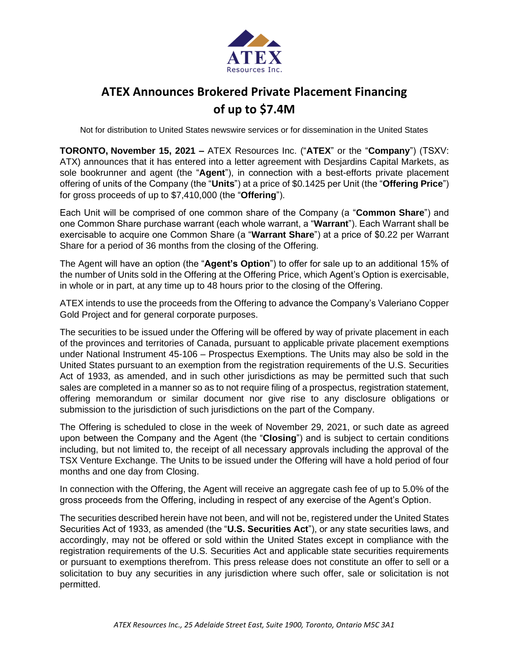

# **ATEX Announces Brokered Private Placement Financing of up to \$7.4M**

Not for distribution to United States newswire services or for dissemination in the United States

**TORONTO, November 15, 2021 –** ATEX Resources Inc. ("**ATEX**" or the "**Company**") (TSXV: ATX) announces that it has entered into a letter agreement with Desjardins Capital Markets, as sole bookrunner and agent (the "**Agent**"), in connection with a best-efforts private placement offering of units of the Company (the "**Units**") at a price of \$0.1425 per Unit (the "**Offering Price**") for gross proceeds of up to \$7,410,000 (the "**Offering**").

Each Unit will be comprised of one common share of the Company (a "**Common Share**") and one Common Share purchase warrant (each whole warrant, a "**Warrant**"). Each Warrant shall be exercisable to acquire one Common Share (a "**Warrant Share**") at a price of \$0.22 per Warrant Share for a period of 36 months from the closing of the Offering.

The Agent will have an option (the "**Agent's Option**") to offer for sale up to an additional 15% of the number of Units sold in the Offering at the Offering Price, which Agent's Option is exercisable, in whole or in part, at any time up to 48 hours prior to the closing of the Offering.

ATEX intends to use the proceeds from the Offering to advance the Company's Valeriano Copper Gold Project and for general corporate purposes.

The securities to be issued under the Offering will be offered by way of private placement in each of the provinces and territories of Canada, pursuant to applicable private placement exemptions under National Instrument 45-106 – Prospectus Exemptions. The Units may also be sold in the United States pursuant to an exemption from the registration requirements of the U.S. Securities Act of 1933, as amended, and in such other jurisdictions as may be permitted such that such sales are completed in a manner so as to not require filing of a prospectus, registration statement, offering memorandum or similar document nor give rise to any disclosure obligations or submission to the jurisdiction of such jurisdictions on the part of the Company.

The Offering is scheduled to close in the week of November 29, 2021, or such date as agreed upon between the Company and the Agent (the "**Closing**") and is subject to certain conditions including, but not limited to, the receipt of all necessary approvals including the approval of the TSX Venture Exchange. The Units to be issued under the Offering will have a hold period of four months and one day from Closing.

In connection with the Offering, the Agent will receive an aggregate cash fee of up to 5.0% of the gross proceeds from the Offering, including in respect of any exercise of the Agent's Option.

The securities described herein have not been, and will not be, registered under the United States Securities Act of 1933, as amended (the "**U.S. Securities Act**"), or any state securities laws, and accordingly, may not be offered or sold within the United States except in compliance with the registration requirements of the U.S. Securities Act and applicable state securities requirements or pursuant to exemptions therefrom. This press release does not constitute an offer to sell or a solicitation to buy any securities in any jurisdiction where such offer, sale or solicitation is not permitted.